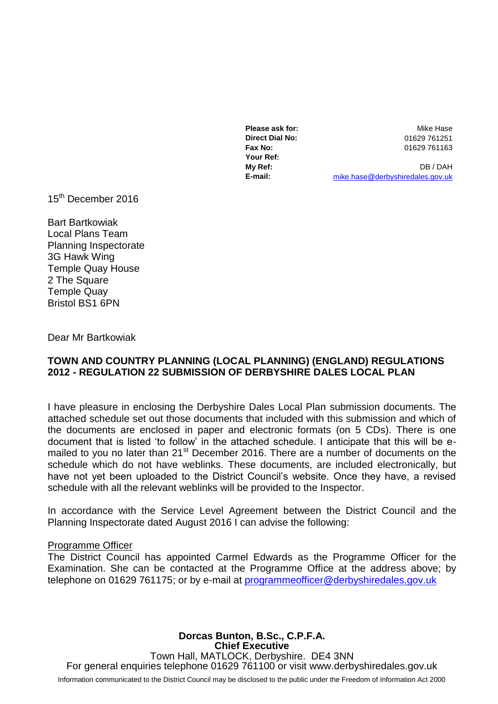**Direct Dial No:** 01629 761251 **Fax No:** 01629 761163 **Your Ref:**

**Please ask for:** Mike Hase

**My Ref:** DB / DAH **E-mail:** [mike.hase@derbyshiredales.gov.uk](mailto:mike.hase@derbyshiredales.gov.uk)

15<sup>th</sup> December 2016

Bart Bartkowiak Local Plans Team Planning Inspectorate 3G Hawk Wing Temple Quay House 2 The Square Temple Quay Bristol BS1 6PN

Dear Mr Bartkowiak

## **TOWN AND COUNTRY PLANNING (LOCAL PLANNING) (ENGLAND) REGULATIONS 2012 - REGULATION 22 SUBMISSION OF DERBYSHIRE DALES LOCAL PLAN**

I have pleasure in enclosing the Derbyshire Dales Local Plan submission documents. The attached schedule set out those documents that included with this submission and which of the documents are enclosed in paper and electronic formats (on 5 CDs). There is one document that is listed 'to follow' in the attached schedule. I anticipate that this will be emailed to you no later than 21<sup>st</sup> December 2016. There are a number of documents on the schedule which do not have weblinks. These documents, are included electronically, but have not yet been uploaded to the District Council's website. Once they have, a revised schedule with all the relevant weblinks will be provided to the Inspector.

In accordance with the Service Level Agreement between the District Council and the Planning Inspectorate dated August 2016 I can advise the following:

## Programme Officer

The District Council has appointed Carmel Edwards as the Programme Officer for the Examination. She can be contacted at the Programme Office at the address above; by telephone on 01629 761175; or by e-mail at [programmeofficer@derbyshiredales.gov.uk](mailto:programmeofficer@derbyshiredales.gov.uk)

**Dorcas Bunton, B.Sc., C.P.F.A. Chief Executive** Town Hall, MATLOCK, Derbyshire. DE4 3NN For general enquiries telephone 01629 761100 or visit www.derbyshiredales.gov.uk Information communicated to the District Council may be disclosed to the public under the Freedom of Information Act 2000